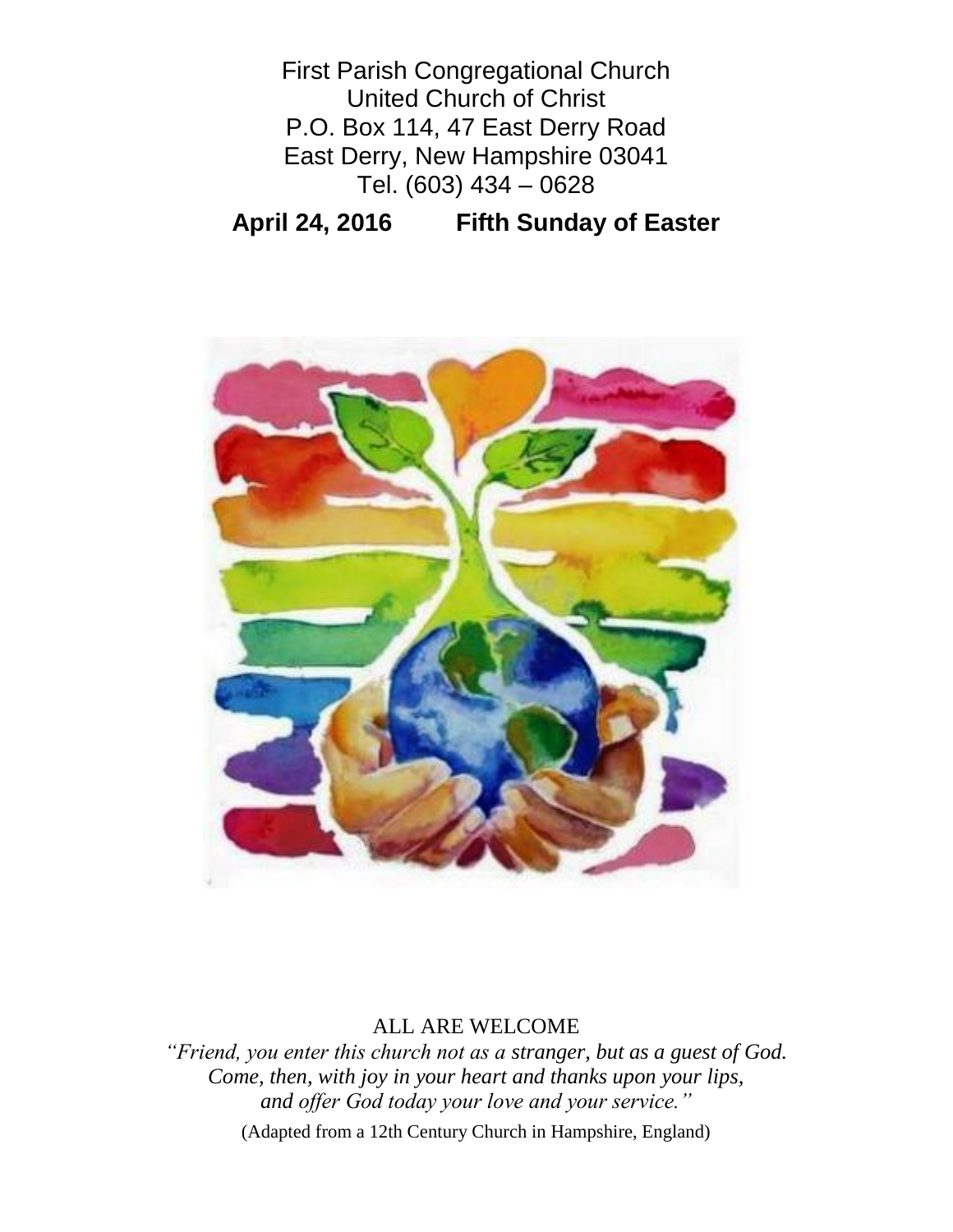First Parish Congregational Church United Church of Christ P.O. Box 114, 47 East Derry Road East Derry, New Hampshire 03041 Tel. (603) 434 – 0628

**April 24, 2016 Fifth Sunday of Easter**



# ALL ARE WELCOME

*"Friend, you enter this church not as a stranger, but as a guest of God. Come, then, with joy in your heart and thanks upon your lips, and offer God today your love and your service."* (Adapted from a 12th Century Church in Hampshire, England)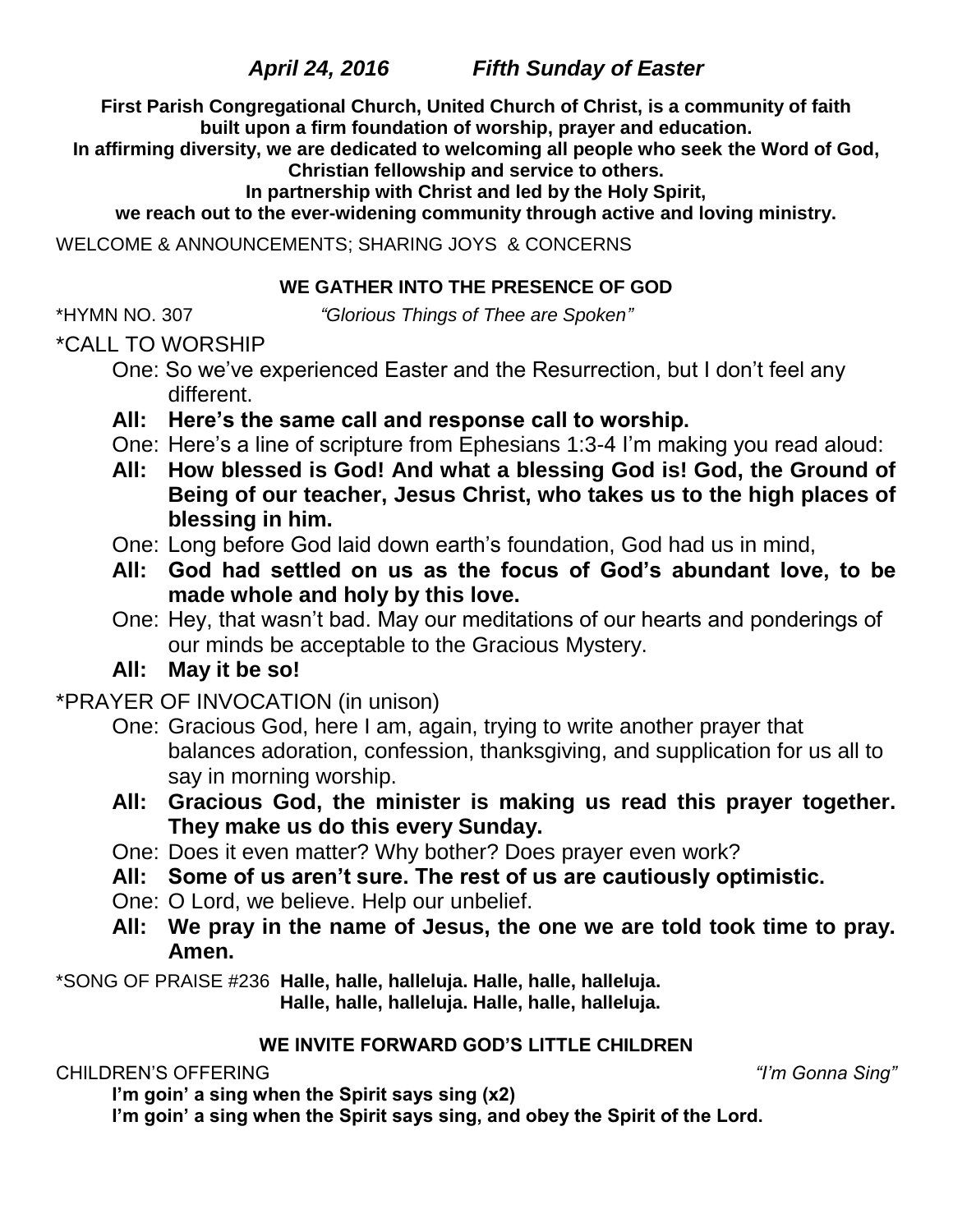# *April 24, 2016 Fifth Sunday of Easter*

**First Parish Congregational Church, United Church of Christ, is a community of faith built upon a firm foundation of worship, prayer and education.**

**In affirming diversity, we are dedicated to welcoming all people who seek the Word of God, Christian fellowship and service to others.**

**In partnership with Christ and led by the Holy Spirit,**

**we reach out to the ever-widening community through active and loving ministry.**

WELCOME & ANNOUNCEMENTS; SHARING JOYS & CONCERNS

# **WE GATHER INTO THE PRESENCE OF GOD**

\*HYMN NO. 307 *"Glorious Things of Thee are Spoken"*

\*CALL TO WORSHIP

- One: So we've experienced Easter and the Resurrection, but I don't feel any different.
- **All: Here's the same call and response call to worship.**
- One: Here's a line of scripture from Ephesians 1:3-4 I'm making you read aloud:
- **All: How blessed is God! And what a blessing God is! God, the Ground of Being of our teacher, Jesus Christ, who takes us to the high places of blessing in him.**
- One: Long before God laid down earth's foundation, God had us in mind,
- **All: God had settled on us as the focus of God's abundant love, to be made whole and holy by this love.**
- One: Hey, that wasn't bad. May our meditations of our hearts and ponderings of our minds be acceptable to the Gracious Mystery.
- **All: May it be so!**

\*PRAYER OF INVOCATION (in unison)

- One: Gracious God, here I am, again, trying to write another prayer that balances adoration, confession, thanksgiving, and supplication for us all to say in morning worship.
- **All: Gracious God, the minister is making us read this prayer together. They make us do this every Sunday.**
- One: Does it even matter? Why bother? Does prayer even work?
- **All: Some of us aren't sure. The rest of us are cautiously optimistic.**
- One: O Lord, we believe. Help our unbelief.
- **All: We pray in the name of Jesus, the one we are told took time to pray. Amen.**

\*SONG OF PRAISE #236 **Halle, halle, halleluja. Halle, halle, halleluja.**

**Halle, halle, halleluja. Halle, halle, halleluja.**

# **WE INVITE FORWARD GOD'S LITTLE CHILDREN**

# CHILDREN'S OFFERING *"I'm Gonna Sing"*

**I'm goin' a sing when the Spirit says sing (x2) I'm goin' a sing when the Spirit says sing, and obey the Spirit of the Lord.**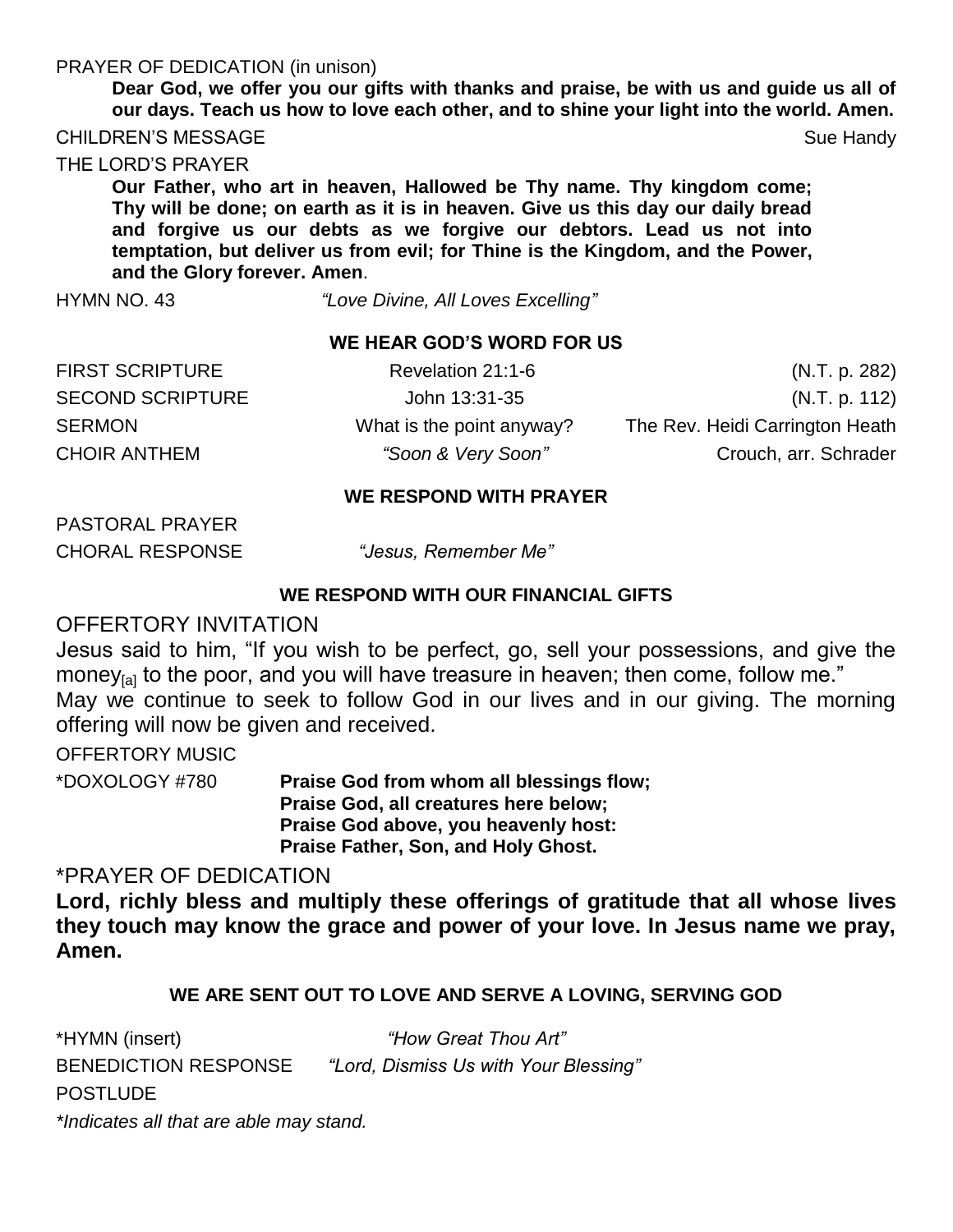#### PRAYER OF DEDICATION (in unison)

**Dear God, we offer you our gifts with thanks and praise, be with us and guide us all of our days. Teach us how to love each other, and to shine your light into the world. Amen.**

CHILDREN'S MESSAGE Sue Handy Sue Handy

#### THE LORD'S PRAYER

**Our Father, who art in heaven, Hallowed be Thy name. Thy kingdom come; Thy will be done; on earth as it is in heaven. Give us this day our daily bread and forgive us our debts as we forgive our debtors. Lead us not into temptation, but deliver us from evil; for Thine is the Kingdom, and the Power, and the Glory forever. Amen**.

HYMN NO. 43 *"Love Divine, All Loves Excelling"*

#### **WE HEAR GOD'S WORD FOR US**

| <b>FIRST SCRIPTURE</b>  | Revelation 21:1-6         | (N.T. p. 282)                   |
|-------------------------|---------------------------|---------------------------------|
| <b>SECOND SCRIPTURE</b> | John 13:31-35             | (N.T. p. 112)                   |
| <b>SERMON</b>           | What is the point anyway? | The Rev. Heidi Carrington Heath |
| <b>CHOIR ANTHEM</b>     | "Soon & Very Soon"        | Crouch, arr. Schrader           |

#### **WE RESPOND WITH PRAYER**

PASTORAL PRAYER

CHORAL RESPONSE *"Jesus, Remember Me"* 

### **WE RESPOND WITH OUR FINANCIAL GIFTS**

# OFFERTORY INVITATION

Jesus said to him, "If you wish to be perfect, go, sell your possessions, and give the money $_{[a]}$  to the poor, and you will have treasure in heaven; then come, follow me." May we continue to seek to follow God in our lives and in our giving. The morning offering will now be given and received.

OFFERTORY MUSIC

\*DOXOLOGY #780 **Praise God from whom all blessings flow; Praise God, all creatures here below; Praise God above, you heavenly host: Praise Father, Son, and Holy Ghost.**

\*PRAYER OF DEDICATION

**Lord, richly bless and multiply these offerings of gratitude that all whose lives they touch may know the grace and power of your love. In Jesus name we pray, Amen.**

#### **WE ARE SENT OUT TO LOVE AND SERVE A LOVING, SERVING GOD**

\*HYMN (insert) *"How Great Thou Art"* BENEDICTION RESPONSE *"Lord, Dismiss Us with Your Blessing"* POSTLUDE *\*Indicates all that are able may stand.*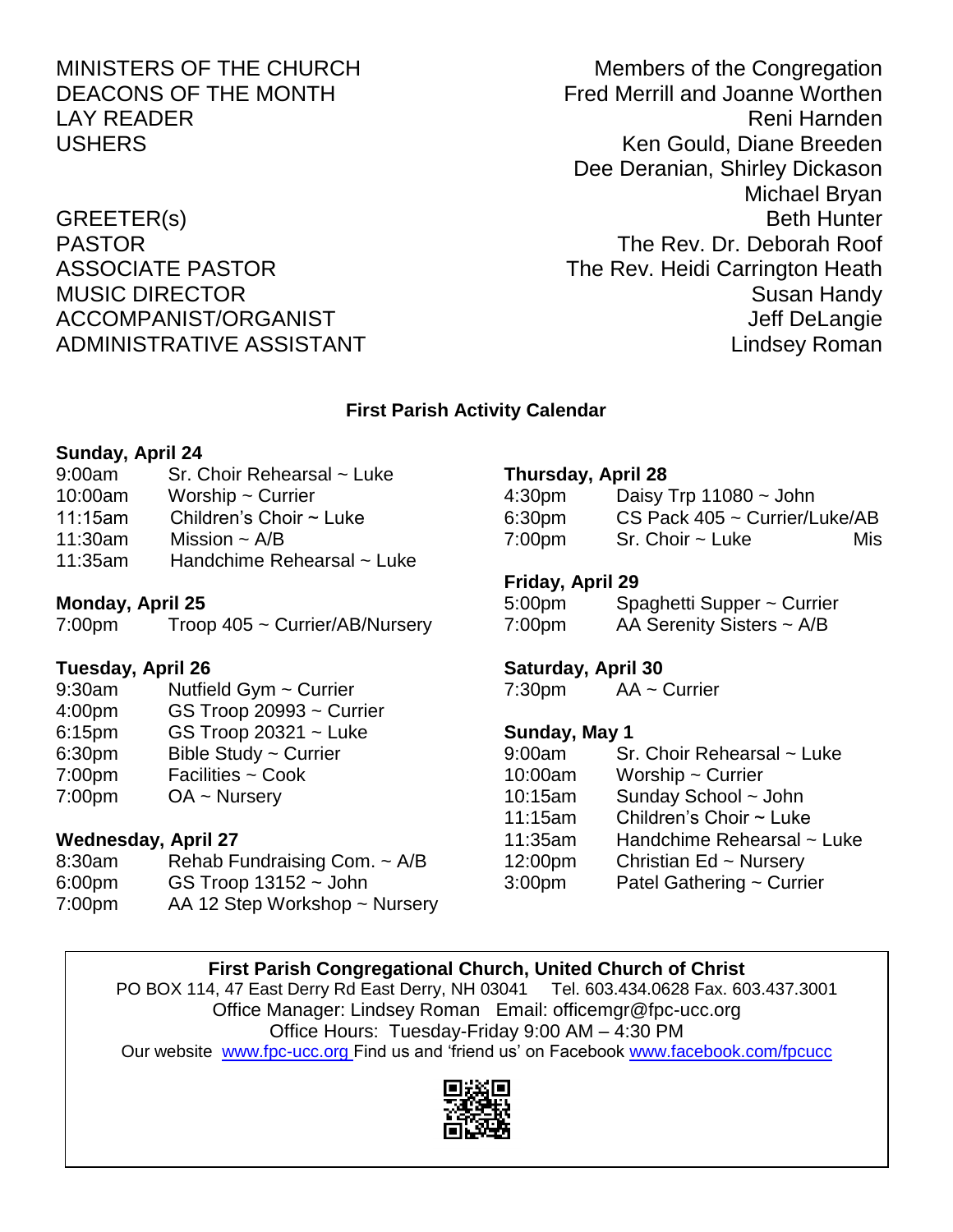MINISTERS OF THE CHURCH Members of the Congregation DEACONS OF THE MONTH Fred Merrill and Joanne Worthen LAY READER **Reni Harnden** USHERS **Ken Gould, Diane Breeden** Dee Deranian, Shirley Dickason Michael Bryan GREETER(s) Beth Hunter PASTOR The Rev. Dr. Deborah Roof ASSOCIATE PASTOR The Rev. Heidi Carrington Heath MUSIC DIRECTOR Susan Handy ACCOMPANIST/ORGANIST ACCOMPANIST/ORGANIST ADMINISTRATIVE ASSISTANT AND CONTROLLER AND Lindsey Roman

### **First Parish Activity Calendar**

### **Sunday, April 24**

- 9:00am Sr. Choir Rehearsal ~ Luke
- 10:00am Worship ~ Currier
- 11:15am Children's Choir ~ Luke
- 11:30am Mission  $\sim$  A/B
- 11:35am Handchime Rehearsal ~ Luke

### **Monday, April 25**

7:00pm Troop 405 ~ Currier/AB/Nursery

#### **Tuesday, April 26**

- 9:30am Nutfield Gym ~ Currier
- 4:00pm GS Troop 20993 ~ Currier
- 6:15pm GS Troop 20321 ~ Luke
- 6:30pm Bible Study ~ Currier
- 7:00pm Facilities ~ Cook
- 7:00pm OA ~ Nursery

# **Wednesday, April 27**

| 8:30am | Rehab Fundraising Com. $\sim$ A/B |
|--------|-----------------------------------|
| 6:00pm | GS Troop $13152 -$ John           |
| 7:00pm | AA 12 Step Workshop ~ Nursery     |

### **Thursday, April 28**

| 4:30 <sub>pm</sub> | Daisy Trp $11080 \sim$ John          |      |
|--------------------|--------------------------------------|------|
| 6:30 <sub>pm</sub> | $CS$ Pack 405 $\sim$ Currier/Luke/AB |      |
| 7:00 <sub>pm</sub> | $Sr.$ Choir $\sim$ Luke              | Mis. |

# **Friday, April 29**

| 5:00pm | Spaghetti Supper ~ Currier     |
|--------|--------------------------------|
| 7:00pm | AA Serenity Sisters $\sim$ A/B |

# **Saturday, April 30**

7:30pm AA ~ Currier

# **Sunday, May 1**

| Handchime Rehearsal ~ Luke |
|----------------------------|
|                            |
|                            |
|                            |

# **First Parish Congregational Church, United Church of Christ**

PO BOX 114, 47 East Derry Rd East Derry, NH 03041 Tel. 603.434.0628 Fax. 603.437.3001 Office Manager: Lindsey Roman Email: officemgr@fpc-ucc.org Office Hours: Tuesday-Friday 9:00 AM – 4:30 PM Our website [www.fpc-ucc.org](http://www.fpc-ucc.org/) Find us and 'friend us' on Facebook [www.facebook.com/fpcucc](http://www.facebook.com/fpcucc)